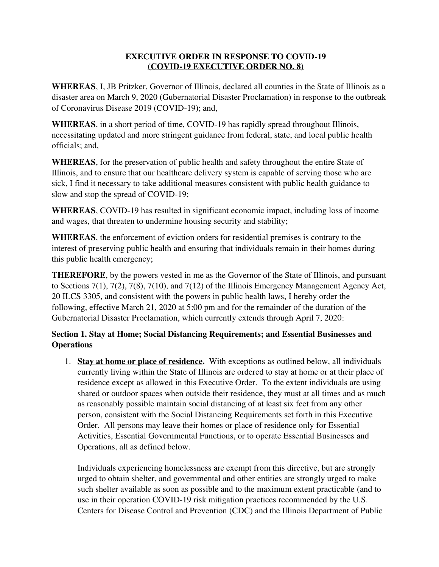## **EXECUTIVE ORDER IN RESPONSE TO COVID-19 (COVID-19 EXECUTIVE ORDER NO. 8)**

**WHEREAS**, I, JB Pritzker, Governor of Illinois, declared all counties in the State of Illinois as a disaster area on March 9, 2020 (Gubernatorial Disaster Proclamation) in response to the outbreak of Coronavirus Disease 2019 (COVID-19); and,

**WHEREAS**, in a short period of time, COVID-19 has rapidly spread throughout Illinois, necessitating updated and more stringent guidance from federal, state, and local public health officials; and,

**WHEREAS**, for the preservation of public health and safety throughout the entire State of Illinois, and to ensure that our healthcare delivery system is capable of serving those who are sick, I find it necessary to take additional measures consistent with public health guidance to slow and stop the spread of COVID-19;

**WHEREAS**, COVID-19 has resulted in significant economic impact, including loss of income and wages, that threaten to undermine housing security and stability;

**WHEREAS**, the enforcement of eviction orders for residential premises is contrary to the interest of preserving public health and ensuring that individuals remain in their homes during this public health emergency;

**THEREFORE**, by the powers vested in me as the Governor of the State of Illinois, and pursuant to Sections 7(1), 7(2), 7(8), 7(10), and 7(12) of the Illinois Emergency Management Agency Act, 20 ILCS 3305, and consistent with the powers in public health laws, I hereby order the following, effective March 21, 2020 at 5:00 pm and for the remainder of the duration of the Gubernatorial Disaster Proclamation, which currently extends through April 7, 2020:

## **Section 1. Stay at Home; Social Distancing Requirements; and Essential Businesses and Operations**

1. **Stay at home or place of residence.** With exceptions as outlined below, all individuals currently living within the State of Illinois are ordered to stay at home or at their place of residence except as allowed in this Executive Order. To the extent individuals are using shared or outdoor spaces when outside their residence, they must at all times and as much as reasonably possible maintain social distancing of at least six feet from any other person, consistent with the Social Distancing Requirements set forth in this Executive Order. All persons may leave their homes or place of residence only for Essential Activities, Essential Governmental Functions, or to operate Essential Businesses and Operations, all as defined below.

Individuals experiencing homelessness are exempt from this directive, but are strongly urged to obtain shelter, and governmental and other entities are strongly urged to make such shelter available as soon as possible and to the maximum extent practicable (and to use in their operation COVID-19 risk mitigation practices recommended by the U.S. Centers for Disease Control and Prevention (CDC) and the Illinois Department of Public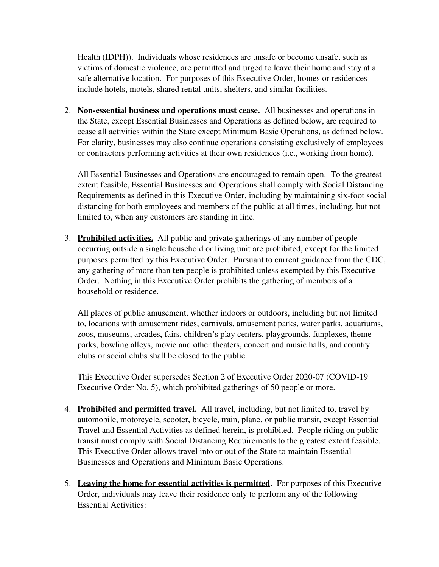Health (IDPH)). Individuals whose residences are unsafe or become unsafe, such as victims of domestic violence, are permitted and urged to leave their home and stay at a safe alternative location. For purposes of this Executive Order, homes or residences include hotels, motels, shared rental units, shelters, and similar facilities.

2. **Non-essential business and operations must cease.** All businesses and operations in the State, except Essential Businesses and Operations as defined below, are required to cease all activities within the State except Minimum Basic Operations, as defined below. For clarity, businesses may also continue operations consisting exclusively of employees or contractors performing activities at their own residences (i.e., working from home).

All Essential Businesses and Operations are encouraged to remain open. To the greatest extent feasible, Essential Businesses and Operations shall comply with Social Distancing Requirements as defined in this Executive Order, including by maintaining six-foot social distancing for both employees and members of the public at all times, including, but not limited to, when any customers are standing in line.

3. **Prohibited activities.** All public and private gatherings of any number of people occurring outside a single household or living unit are prohibited, except for the limited purposes permitted by this Executive Order. Pursuant to current guidance from the CDC, any gathering of more than **ten** people is prohibited unless exempted by this Executive Order. Nothing in this Executive Order prohibits the gathering of members of a household or residence.

All places of public amusement, whether indoors or outdoors, including but not limited to, locations with amusement rides, carnivals, amusement parks, water parks, aquariums, zoos, museums, arcades, fairs, children's play centers, playgrounds, funplexes, theme parks, bowling alleys, movie and other theaters, concert and music halls, and country clubs or social clubs shall be closed to the public.

This Executive Order supersedes Section 2 of Executive Order 2020-07 (COVID-19 Executive Order No. 5), which prohibited gatherings of 50 people or more.

- 4. **Prohibited and permitted travel.** All travel, including, but not limited to, travel by automobile, motorcycle, scooter, bicycle, train, plane, or public transit, except Essential Travel and Essential Activities as defined herein, is prohibited. People riding on public transit must comply with Social Distancing Requirements to the greatest extent feasible. This Executive Order allows travel into or out of the State to maintain Essential Businesses and Operations and Minimum Basic Operations.
- 5. **Leaving the home for essential activities is permitted.** For purposes of this Executive Order, individuals may leave their residence only to perform any of the following Essential Activities: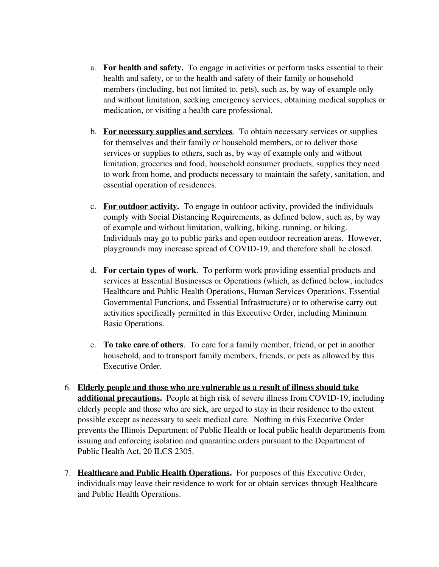- a. **For health and safety.** To engage in activities or perform tasks essential to their health and safety, or to the health and safety of their family or household members (including, but not limited to, pets), such as, by way of example only and without limitation, seeking emergency services, obtaining medical supplies or medication, or visiting a health care professional.
- b. **For necessary supplies and services**. To obtain necessary services or supplies for themselves and their family or household members, or to deliver those services or supplies to others, such as, by way of example only and without limitation, groceries and food, household consumer products, supplies they need to work from home, and products necessary to maintain the safety, sanitation, and essential operation of residences.
- c. **For outdoor activity.** To engage in outdoor activity, provided the individuals comply with Social Distancing Requirements, as defined below, such as, by way of example and without limitation, walking, hiking, running, or biking. Individuals may go to public parks and open outdoor recreation areas. However, playgrounds may increase spread of COVID-19, and therefore shall be closed.
- d. **For certain types of work**. To perform work providing essential products and services at Essential Businesses or Operations (which, as defined below, includes Healthcare and Public Health Operations, Human Services Operations, Essential Governmental Functions, and Essential Infrastructure) or to otherwise carry out activities specifically permitted in this Executive Order, including Minimum Basic Operations.
- e. **To take care of others**. To care for a family member, friend, or pet in another household, and to transport family members, friends, or pets as allowed by this Executive Order.
- 6. **Elderly people and those who are vulnerable as a result of illness should take additional precautions.** People at high risk of severe illness from COVID-19, including elderly people and those who are sick, are urged to stay in their residence to the extent possible except as necessary to seek medical care. Nothing in this Executive Order prevents the Illinois Department of Public Health or local public health departments from issuing and enforcing isolation and quarantine orders pursuant to the Department of Public Health Act, 20 ILCS 2305.
- 7. **Healthcare and Public Health Operations.** For purposes of this Executive Order, individuals may leave their residence to work for or obtain services through Healthcare and Public Health Operations.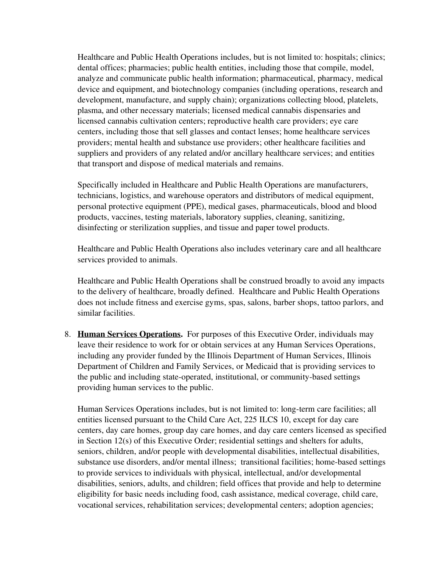Healthcare and Public Health Operations includes, but is not limited to: hospitals; clinics; dental offices; pharmacies; public health entities, including those that compile, model, analyze and communicate public health information; pharmaceutical, pharmacy, medical device and equipment, and biotechnology companies (including operations, research and development, manufacture, and supply chain); organizations collecting blood, platelets, plasma, and other necessary materials; licensed medical cannabis dispensaries and licensed cannabis cultivation centers; reproductive health care providers; eye care centers, including those that sell glasses and contact lenses; home healthcare services providers; mental health and substance use providers; other healthcare facilities and suppliers and providers of any related and/or ancillary healthcare services; and entities that transport and dispose of medical materials and remains.

Specifically included in Healthcare and Public Health Operations are manufacturers, technicians, logistics, and warehouse operators and distributors of medical equipment, personal protective equipment (PPE), medical gases, pharmaceuticals, blood and blood products, vaccines, testing materials, laboratory supplies, cleaning, sanitizing, disinfecting or sterilization supplies, and tissue and paper towel products.

Healthcare and Public Health Operations also includes veterinary care and all healthcare services provided to animals.

Healthcare and Public Health Operations shall be construed broadly to avoid any impacts to the delivery of healthcare, broadly defined. Healthcare and Public Health Operations does not include fitness and exercise gyms, spas, salons, barber shops, tattoo parlors, and similar facilities.

8. **Human Services Operations.** For purposes of this Executive Order, individuals may leave their residence to work for or obtain services at any Human Services Operations, including any provider funded by the Illinois Department of Human Services, Illinois Department of Children and Family Services, or Medicaid that is providing services to the public and including state-operated, institutional, or community-based settings providing human services to the public.

Human Services Operations includes, but is not limited to: long-term care facilities; all entities licensed pursuant to the Child Care Act, 225 ILCS 10, except for day care centers, day care homes, group day care homes, and day care centers licensed as specified in Section 12(s) of this Executive Order; residential settings and shelters for adults, seniors, children, and/or people with developmental disabilities, intellectual disabilities, substance use disorders, and/or mental illness; transitional facilities; home-based settings to provide services to individuals with physical, intellectual, and/or developmental disabilities, seniors, adults, and children; field offices that provide and help to determine eligibility for basic needs including food, cash assistance, medical coverage, child care, vocational services, rehabilitation services; developmental centers; adoption agencies;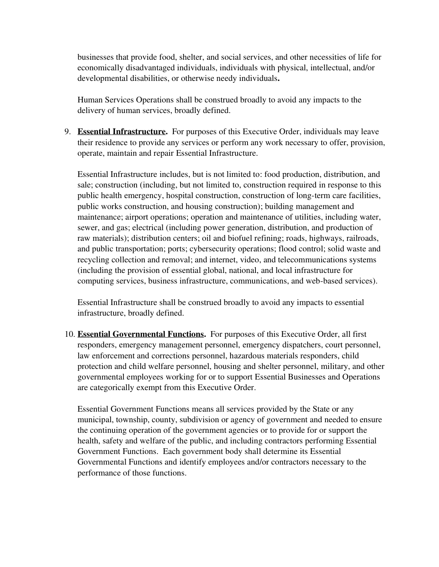businesses that provide food, shelter, and social services, and other necessities of life for economically disadvantaged individuals, individuals with physical, intellectual, and/or developmental disabilities, or otherwise needy individuals**.** 

Human Services Operations shall be construed broadly to avoid any impacts to the delivery of human services, broadly defined.

9. **Essential Infrastructure.** For purposes of this Executive Order, individuals may leave their residence to provide any services or perform any work necessary to offer, provision, operate, maintain and repair Essential Infrastructure.

Essential Infrastructure includes, but is not limited to: food production, distribution, and sale; construction (including, but not limited to, construction required in response to this public health emergency, hospital construction, construction of long-term care facilities, public works construction, and housing construction); building management and maintenance; airport operations; operation and maintenance of utilities, including water, sewer, and gas; electrical (including power generation, distribution, and production of raw materials); distribution centers; oil and biofuel refining; roads, highways, railroads, and public transportation; ports; cybersecurity operations; flood control; solid waste and recycling collection and removal; and internet, video, and telecommunications systems (including the provision of essential global, national, and local infrastructure for computing services, business infrastructure, communications, and web-based services).

Essential Infrastructure shall be construed broadly to avoid any impacts to essential infrastructure, broadly defined.

10. **Essential Governmental Functions.** For purposes of this Executive Order, all first responders, emergency management personnel, emergency dispatchers, court personnel, law enforcement and corrections personnel, hazardous materials responders, child protection and child welfare personnel, housing and shelter personnel, military, and other governmental employees working for or to support Essential Businesses and Operations are categorically exempt from this Executive Order.

Essential Government Functions means all services provided by the State or any municipal, township, county, subdivision or agency of government and needed to ensure the continuing operation of the government agencies or to provide for or support the health, safety and welfare of the public, and including contractors performing Essential Government Functions. Each government body shall determine its Essential Governmental Functions and identify employees and/or contractors necessary to the performance of those functions.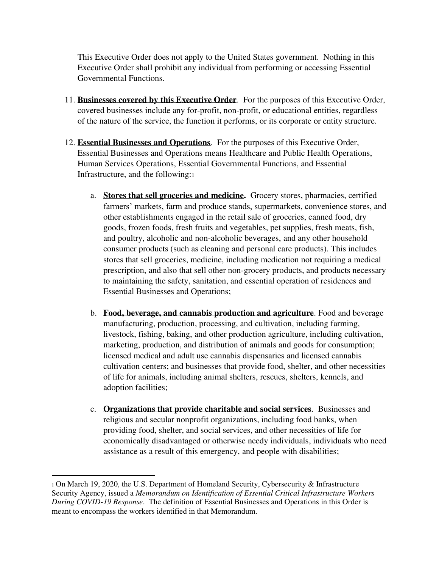This Executive Order does not apply to the United States government. Nothing in this Executive Order shall prohibit any individual from performing or accessing Essential Governmental Functions.

- 11. **Businesses covered by this Executive Order**. For the purposes of this Executive Order, covered businesses include any for-profit, non-profit, or educational entities, regardless of the nature of the service, the function it performs, or its corporate or entity structure.
- 12. **Essential Businesses and Operations**. For the purposes of this Executive Order, Essential Businesses and Operations means Healthcare and Public Health Operations, Human Services Operations, Essential Governmental Functions, and Essential Infrastructure, and the following:<sup>1</sup>
	- a. **Stores that sell groceries and medicine.** Grocery stores, pharmacies, certified farmers' markets, farm and produce stands, supermarkets, convenience stores, and other establishments engaged in the retail sale of groceries, canned food, dry goods, frozen foods, fresh fruits and vegetables, pet supplies, fresh meats, fish, and poultry, alcoholic and non-alcoholic beverages, and any other household consumer products (such as cleaning and personal care products). This includes stores that sell groceries, medicine, including medication not requiring a medical prescription, and also that sell other non-grocery products, and products necessary to maintaining the safety, sanitation, and essential operation of residences and Essential Businesses and Operations;
	- b. **Food, beverage, and cannabis production and agriculture**. Food and beverage manufacturing, production, processing, and cultivation, including farming, livestock, fishing, baking, and other production agriculture, including cultivation, marketing, production, and distribution of animals and goods for consumption; licensed medical and adult use cannabis dispensaries and licensed cannabis cultivation centers; and businesses that provide food, shelter, and other necessities of life for animals, including animal shelters, rescues, shelters, kennels, and adoption facilities;
	- c. **Organizations that provide charitable and social services**. Businesses and religious and secular nonprofit organizations, including food banks, when providing food, shelter, and social services, and other necessities of life for economically disadvantaged or otherwise needy individuals, individuals who need assistance as a result of this emergency, and people with disabilities;

<sup>1</sup> On March 19, 2020, the U.S. Department of Homeland Security, Cybersecurity & Infrastructure Security Agency, issued a *Memorandum on Identification of Essential Critical Infrastructure Workers During COVID-19 Response*. The definition of Essential Businesses and Operations in this Order is meant to encompass the workers identified in that Memorandum.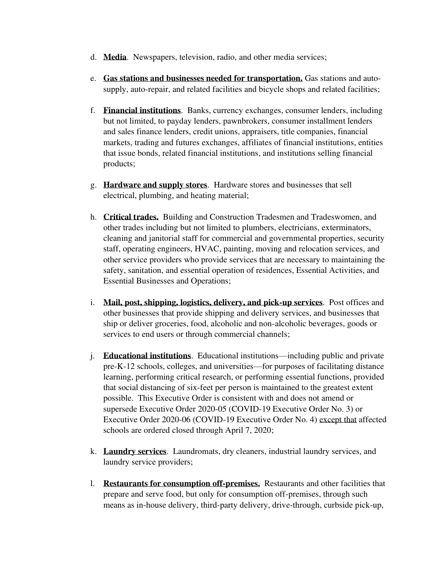- d. **Media**. Newspapers, television, radio, and other media services;
- e. **Gas stations and businesses needed for transportation.** Gas stations and autosupply, auto-repair, and related facilities and bicycle shops and related facilities;
- f. **Financial institutions**. Banks, currency exchanges, consumer lenders, including but not limited, to payday lenders, pawnbrokers, consumer installment lenders and sales finance lenders, credit unions, appraisers, title companies, financial markets, trading and futures exchanges, affiliates of financial institutions, entities that issue bonds, related financial institutions, and institutions selling financial products;
- g. **Hardware and supply stores**. Hardware stores and businesses that sell electrical, plumbing, and heating material;
- h. **Critical trades.** Building and Construction Tradesmen and Tradeswomen, and other trades including but not limited to plumbers, electricians, exterminators, cleaning and janitorial staff for commercial and governmental properties, security staff, operating engineers, HVAC, painting, moving and relocation services, and other service providers who provide services that are necessary to maintaining the safety, sanitation, and essential operation of residences, Essential Activities, and Essential Businesses and Operations;
- i. **Mail, post, shipping, logistics, delivery, and pick-up services**. Post offices and other businesses that provide shipping and delivery services, and businesses that ship or deliver groceries, food, alcoholic and non-alcoholic beverages, goods or services to end users or through commercial channels;
- j. **Educational institutions**. Educational institutions—including public and private pre-K-12 schools, colleges, and universities—for purposes of facilitating distance learning, performing critical research, or performing essential functions, provided that social distancing of six-feet per person is maintained to the greatest extent possible. This Executive Order is consistent with and does not amend or supersede Executive Order 2020-05 (COVID-19 Executive Order No. 3) or Executive Order 2020-06 (COVID-19 Executive Order No. 4) except that affected schools are ordered closed through April 7, 2020;
- k. **Laundry services**. Laundromats, dry cleaners, industrial laundry services, and laundry service providers;
- l. **Restaurants for consumption off-premises.** Restaurants and other facilities that prepare and serve food, but only for consumption off-premises, through such means as in-house delivery, third-party delivery, drive-through, curbside pick-up,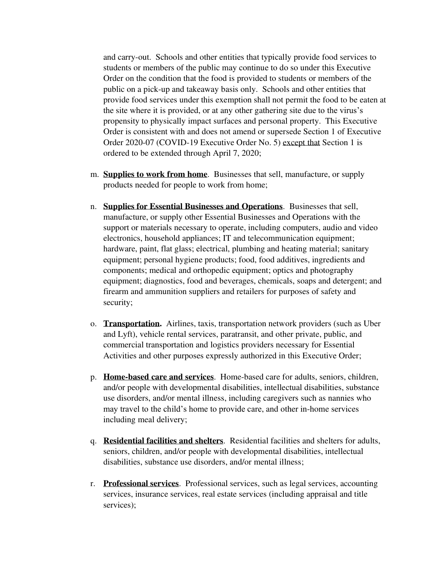and carry-out. Schools and other entities that typically provide food services to students or members of the public may continue to do so under this Executive Order on the condition that the food is provided to students or members of the public on a pick-up and takeaway basis only. Schools and other entities that provide food services under this exemption shall not permit the food to be eaten at the site where it is provided, or at any other gathering site due to the virus's propensity to physically impact surfaces and personal property. This Executive Order is consistent with and does not amend or supersede Section 1 of Executive Order 2020-07 (COVID-19 Executive Order No. 5) except that Section 1 is ordered to be extended through April 7, 2020;

- m. **Supplies to work from home**. Businesses that sell, manufacture, or supply products needed for people to work from home;
- n. **Supplies for Essential Businesses and Operations**. Businesses that sell, manufacture, or supply other Essential Businesses and Operations with the support or materials necessary to operate, including computers, audio and video electronics, household appliances; IT and telecommunication equipment; hardware, paint, flat glass; electrical, plumbing and heating material; sanitary equipment; personal hygiene products; food, food additives, ingredients and components; medical and orthopedic equipment; optics and photography equipment; diagnostics, food and beverages, chemicals, soaps and detergent; and firearm and ammunition suppliers and retailers for purposes of safety and security;
- o. **Transportation.** Airlines, taxis, transportation network providers (such as Uber and Lyft), vehicle rental services, paratransit, and other private, public, and commercial transportation and logistics providers necessary for Essential Activities and other purposes expressly authorized in this Executive Order;
- p. **Home-based care and services**. Home-based care for adults, seniors, children, and/or people with developmental disabilities, intellectual disabilities, substance use disorders, and/or mental illness, including caregivers such as nannies who may travel to the child's home to provide care, and other in-home services including meal delivery;
- q. **Residential facilities and shelters**. Residential facilities and shelters for adults, seniors, children, and/or people with developmental disabilities, intellectual disabilities, substance use disorders, and/or mental illness;
- r. **Professional services**. Professional services, such as legal services, accounting services, insurance services, real estate services (including appraisal and title services);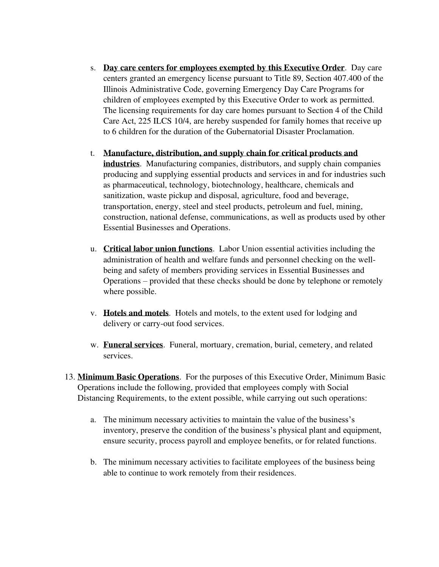- s. **Day care centers for employees exempted by this Executive Order**. Day care centers granted an emergency license pursuant to Title 89, Section 407.400 of the Illinois Administrative Code, governing Emergency Day Care Programs for children of employees exempted by this Executive Order to work as permitted. The licensing requirements for day care homes pursuant to Section 4 of the Child Care Act, 225 ILCS 10/4, are hereby suspended for family homes that receive up to 6 children for the duration of the Gubernatorial Disaster Proclamation.
- t. **Manufacture, distribution, and supply chain for critical products and industries**. Manufacturing companies, distributors, and supply chain companies producing and supplying essential products and services in and for industries such as pharmaceutical, technology, biotechnology, healthcare, chemicals and sanitization, waste pickup and disposal, agriculture, food and beverage, transportation, energy, steel and steel products, petroleum and fuel, mining, construction, national defense, communications, as well as products used by other Essential Businesses and Operations.
- u. **Critical labor union functions**. Labor Union essential activities including the administration of health and welfare funds and personnel checking on the wellbeing and safety of members providing services in Essential Businesses and Operations – provided that these checks should be done by telephone or remotely where possible.
- v. **Hotels and motels**. Hotels and motels, to the extent used for lodging and delivery or carry-out food services.
- w. **Funeral services**. Funeral, mortuary, cremation, burial, cemetery, and related services.
- 13. **Minimum Basic Operations**. For the purposes of this Executive Order, Minimum Basic Operations include the following, provided that employees comply with Social Distancing Requirements, to the extent possible, while carrying out such operations:
	- a. The minimum necessary activities to maintain the value of the business's inventory, preserve the condition of the business's physical plant and equipment, ensure security, process payroll and employee benefits, or for related functions.
	- b. The minimum necessary activities to facilitate employees of the business being able to continue to work remotely from their residences.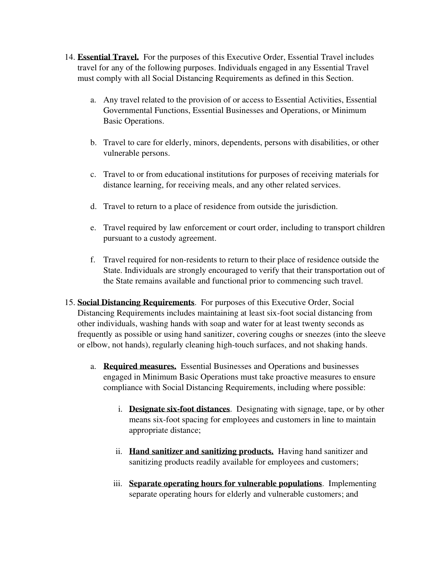- 14. **Essential Travel.** For the purposes of this Executive Order, Essential Travel includes travel for any of the following purposes. Individuals engaged in any Essential Travel must comply with all Social Distancing Requirements as defined in this Section.
	- a. Any travel related to the provision of or access to Essential Activities, Essential Governmental Functions, Essential Businesses and Operations, or Minimum Basic Operations.
	- b. Travel to care for elderly, minors, dependents, persons with disabilities, or other vulnerable persons.
	- c. Travel to or from educational institutions for purposes of receiving materials for distance learning, for receiving meals, and any other related services.
	- d. Travel to return to a place of residence from outside the jurisdiction.
	- e. Travel required by law enforcement or court order, including to transport children pursuant to a custody agreement.
	- f. Travel required for non-residents to return to their place of residence outside the State. Individuals are strongly encouraged to verify that their transportation out of the State remains available and functional prior to commencing such travel.
- 15. **Social Distancing Requirements**. For purposes of this Executive Order, Social Distancing Requirements includes maintaining at least six-foot social distancing from other individuals, washing hands with soap and water for at least twenty seconds as frequently as possible or using hand sanitizer, covering coughs or sneezes (into the sleeve or elbow, not hands), regularly cleaning high-touch surfaces, and not shaking hands.
	- a. **Required measures.** Essential Businesses and Operations and businesses engaged in Minimum Basic Operations must take proactive measures to ensure compliance with Social Distancing Requirements, including where possible:
		- i. **Designate six-foot distances**. Designating with signage, tape, or by other means six-foot spacing for employees and customers in line to maintain appropriate distance;
		- ii. **Hand sanitizer and sanitizing products.** Having hand sanitizer and sanitizing products readily available for employees and customers;
		- iii. **Separate operating hours for vulnerable populations**. Implementing separate operating hours for elderly and vulnerable customers; and